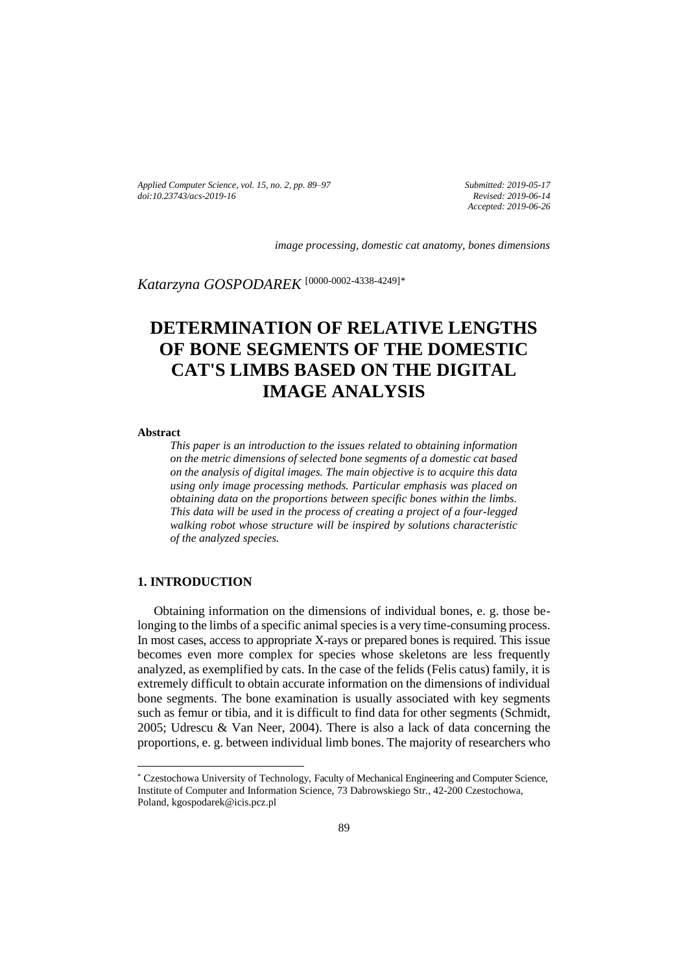*Applied Computer Science, vol. 15, no. 2, pp. 89–97 [doi:10.23743/acs-2019-16](http://acs.pollub.pl/pdf/v15n2/8.pdf)*

*Submitted: 2019-05-17 Revised: 2019-06-14 Accepted: 2019-06-26*

*image processing, domestic cat anatomy, bones dimensions* 

*Katarzyna GOSPODAREK* [\[0000-0002-4338-4249\]](https://orcid.org/0000-0002-4338-4249)*\**

# **DETERMINATION OF RELATIVE LENGTHS OF BONE SEGMENTS OF THE DOMESTIC CAT'S LIMBS BASED ON THE DIGITAL IMAGE ANALYSIS**

**Abstract** 

l

*This paper is an introduction to the issues related to obtaining information on the metric dimensions of selected bone segments of a domestic cat based on the analysis of digital images. The main objective is to acquire this data using only image processing methods. Particular emphasis was placed on obtaining data on the proportions between specific bones within the limbs. This data will be used in the process of creating a project of a four-legged walking robot whose structure will be inspired by solutions characteristic of the analyzed species.*

### **1. INTRODUCTION**

Obtaining information on the dimensions of individual bones, e. g. those belonging to the limbs of a specific animal species is a very time-consuming process. In most cases, access to appropriate X-rays or prepared bones is required. This issue becomes even more complex for species whose skeletons are less frequently analyzed, as exemplified by cats. In the case of the felids (Felis catus) family, it is extremely difficult to obtain accurate information on the dimensions of individual bone segments. The bone examination is usually associated with key segments such as femur or tibia, and it is difficult to find data for other segments (Schmidt, 2005; Udrescu & Van Neer, 2004). There is also a lack of data concerning the proportions, e. g. between individual limb bones. The majority of researchers who

<sup>\*</sup> Czestochowa University of Technology, Faculty of Mechanical Engineering and Computer Science, Institute of Computer and Information Science, 73 Dabrowskiego Str., 42-200 Czestochowa, Poland, kgospodarek@icis.pcz.pl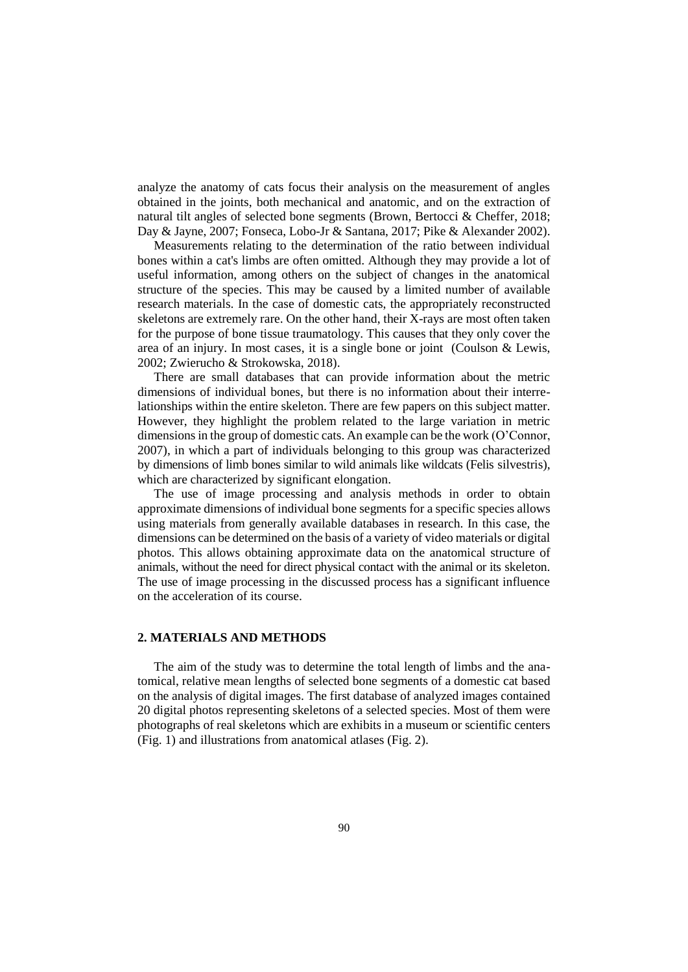analyze the anatomy of cats focus their analysis on the measurement of angles obtained in the joints, both mechanical and anatomic, and on the extraction of natural tilt angles of selected bone segments (Brown, Bertocci & Cheffer, 2018; Day & Jayne, 2007; Fonseca, Lobo-Jr & Santana, 2017; Pike & Alexander 2002).

Measurements relating to the determination of the ratio between individual bones within a cat's limbs are often omitted. Although they may provide a lot of useful information, among others on the subject of changes in the anatomical structure of the species. This may be caused by a limited number of available research materials. In the case of domestic cats, the appropriately reconstructed skeletons are extremely rare. On the other hand, their X-rays are most often taken for the purpose of bone tissue traumatology. This causes that they only cover the area of an injury. In most cases, it is a single bone or joint (Coulson & Lewis, 2002; Zwierucho & Strokowska, 2018).

There are small databases that can provide information about the metric dimensions of individual bones, but there is no information about their interrelationships within the entire skeleton. There are few papers on this subject matter. However, they highlight the problem related to the large variation in metric dimensions in the group of domestic cats. An example can be the work (O'Connor, 2007), in which a part of individuals belonging to this group was characterized by dimensions of limb bones similar to wild animals like wildcats (Felis silvestris), which are characterized by significant elongation.

The use of image processing and analysis methods in order to obtain approximate dimensions of individual bone segments for a specific species allows using materials from generally available databases in research. In this case, the dimensions can be determined on the basis of a variety of video materials or digital photos. This allows obtaining approximate data on the anatomical structure of animals, without the need for direct physical contact with the animal or its skeleton. The use of image processing in the discussed process has a significant influence on the acceleration of its course.

#### **2. MATERIALS AND METHODS**

The aim of the study was to determine the total length of limbs and the anatomical, relative mean lengths of selected bone segments of a domestic cat based on the analysis of digital images. The first database of analyzed images contained 20 digital photos representing skeletons of a selected species. Most of them were photographs of real skeletons which are exhibits in a museum or scientific centers (Fig. 1) and illustrations from anatomical atlases (Fig. 2).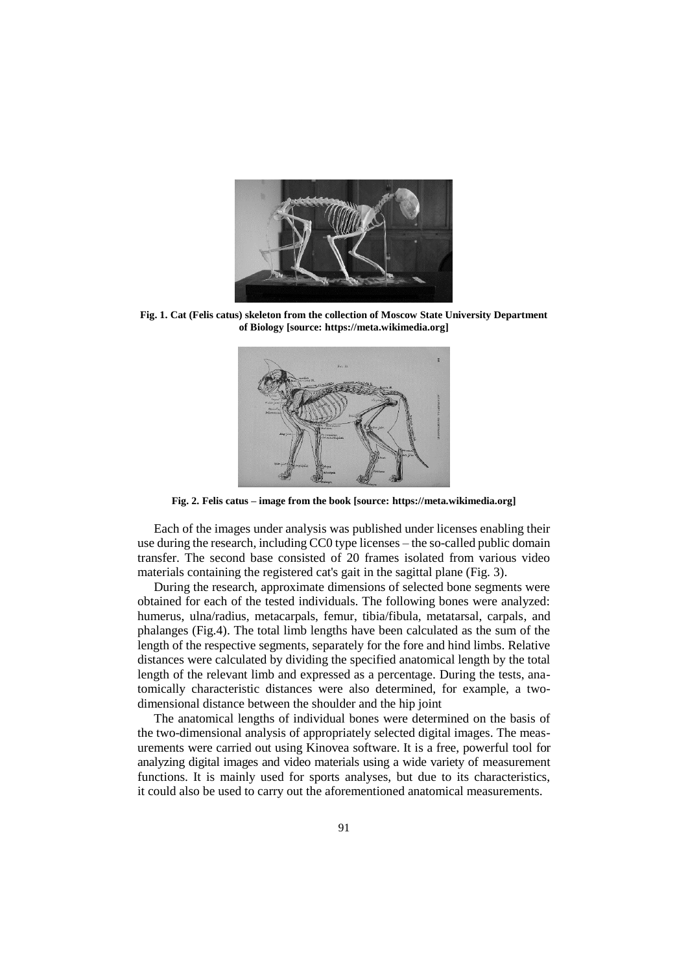

**Fig. 1. Cat (Felis catus) skeleton from the collection of Moscow State University Department of Biology [source: https://meta.wikimedia.org]**



**Fig. 2. Felis catus – image from the book [source: https://meta.wikimedia.org]**

Each of the images under analysis was published under licenses enabling their use during the research, including CC0 type licenses – the so-called public domain transfer. The second base consisted of 20 frames isolated from various video materials containing the registered cat's gait in the sagittal plane (Fig. 3).

During the research, approximate dimensions of selected bone segments were obtained for each of the tested individuals. The following bones were analyzed: humerus, ulna/radius, metacarpals, femur, tibia/fibula, metatarsal, carpals, and phalanges (Fig.4). The total limb lengths have been calculated as the sum of the length of the respective segments, separately for the fore and hind limbs. Relative distances were calculated by dividing the specified anatomical length by the total length of the relevant limb and expressed as a percentage. During the tests, anatomically characteristic distances were also determined, for example, a twodimensional distance between the shoulder and the hip joint

The anatomical lengths of individual bones were determined on the basis of the two-dimensional analysis of appropriately selected digital images. The measurements were carried out using Kinovea software. It is a free, powerful tool for analyzing digital images and video materials using a wide variety of measurement functions. It is mainly used for sports analyses, but due to its characteristics, it could also be used to carry out the aforementioned anatomical measurements.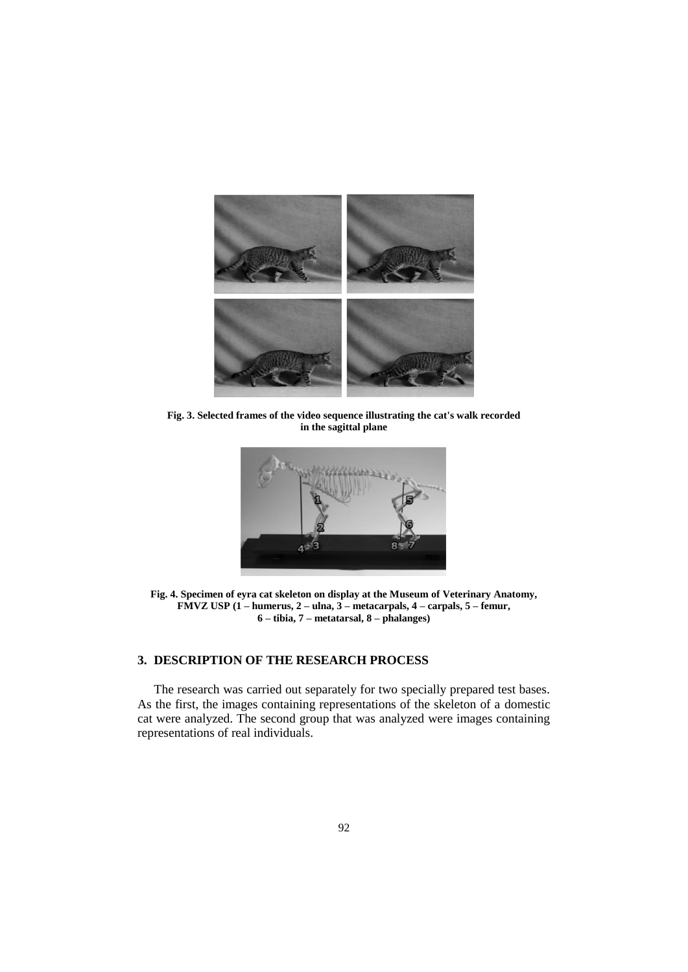

**Fig. 3. Selected frames of the video sequence illustrating the cat's walk recorded in the sagittal plane**



**Fig. 4. Specimen of eyra cat skeleton on display at the Museum of Veterinary Anatomy, FMVZ USP (1 – humerus, 2 – ulna, 3 – metacarpals, 4 – carpals, 5 – femur, 6 – tibia, 7 – metatarsal, 8 – phalanges)**

## **3. DESCRIPTION OF THE RESEARCH PROCESS**

The research was carried out separately for two specially prepared test bases. As the first, the images containing representations of the skeleton of a domestic cat were analyzed. The second group that was analyzed were images containing representations of real individuals.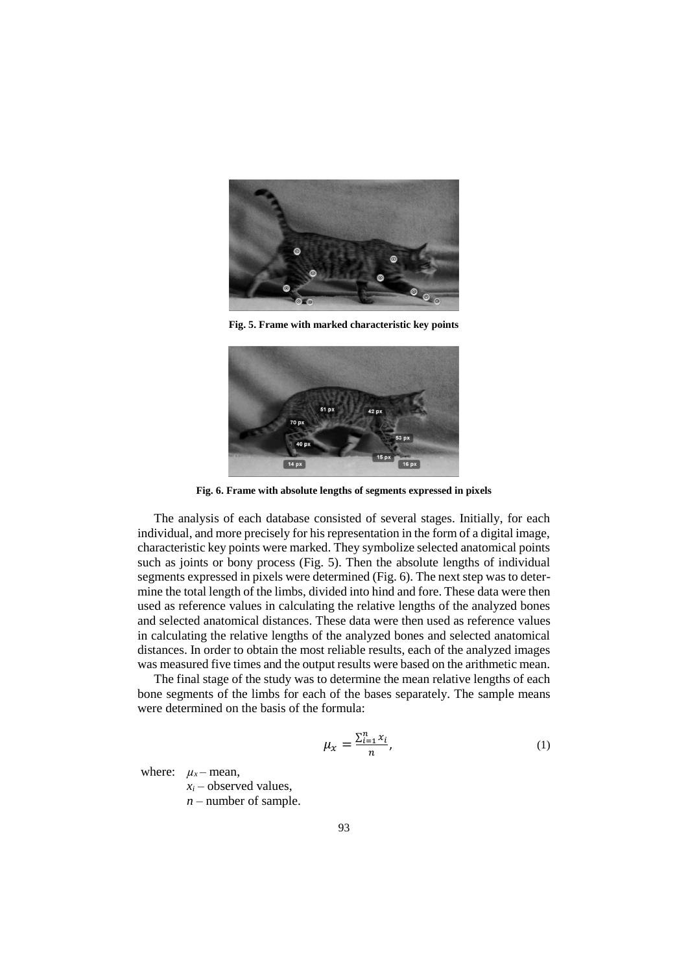

**Fig. 5. Frame with marked characteristic key points**



**Fig. 6. Frame with absolute lengths of segments expressed in pixels**

The analysis of each database consisted of several stages. Initially, for each individual, and more precisely for his representation in the form of a digital image, characteristic key points were marked. They symbolize selected anatomical points such as joints or bony process (Fig. 5). Then the absolute lengths of individual segments expressed in pixels were determined (Fig. 6). The next step was to determine the total length of the limbs, divided into hind and fore. These data were then used as reference values in calculating the relative lengths of the analyzed bones and selected anatomical distances. These data were then used as reference values in calculating the relative lengths of the analyzed bones and selected anatomical distances. In order to obtain the most reliable results, each of the analyzed images was measured five times and the output results were based on the arithmetic mean.

The final stage of the study was to determine the mean relative lengths of each bone segments of the limbs for each of the bases separately. The sample means were determined on the basis of the formula:

$$
\mu_{x} = \frac{\sum_{i=1}^{n} x_{i}}{n},\tag{1}
$$

where:  $\mu_x$  – mean,

 $x_i$  – observed values,

*n* – number of sample.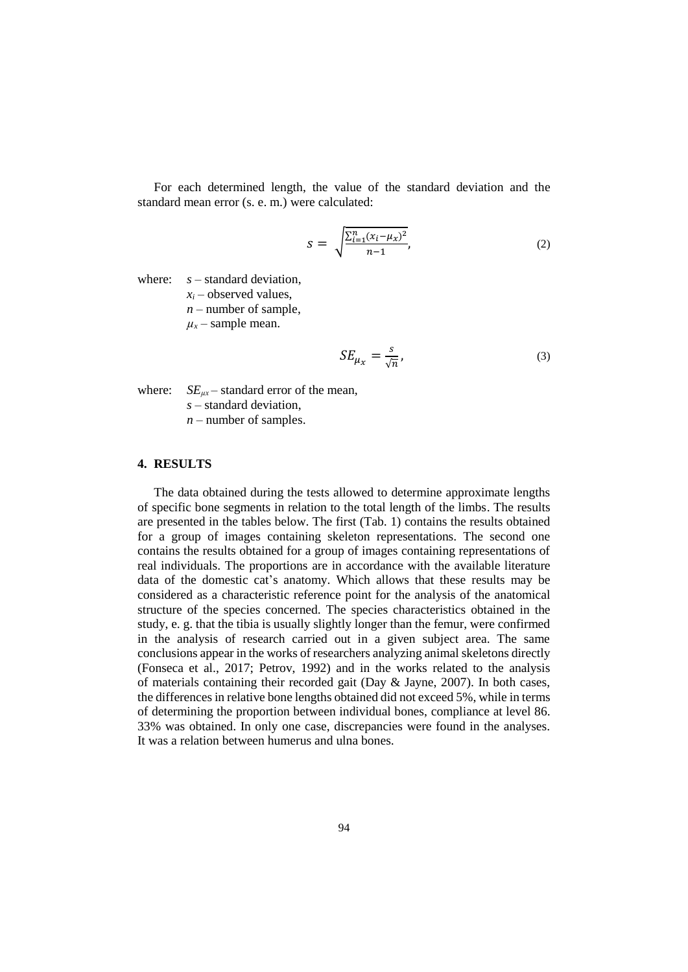For each determined length, the value of the standard deviation and the standard mean error (s. e. m.) were calculated:

$$
S = \sqrt{\frac{\sum_{i=1}^{n} (x_i - \mu_X)^2}{n - 1}},
$$
\n(2)

where: *s* – standard deviation,

 $x_i$  – observed values,

*n* – number of sample,

 $\mu_{\rm x}$  – sample mean.

$$
SE_{\mu_X} = \frac{s}{\sqrt{n}},\tag{3}
$$

where:  $SE_{\mu x}$  – standard error of the mean,

*s* – standard deviation,

*n* – number of samples.

# **4. RESULTS**

The data obtained during the tests allowed to determine approximate lengths of specific bone segments in relation to the total length of the limbs. The results are presented in the tables below. The first (Tab. 1) contains the results obtained for a group of images containing skeleton representations. The second one contains the results obtained for a group of images containing representations of real individuals. The proportions are in accordance with the available literature data of the domestic cat's anatomy. Which allows that these results may be considered as a characteristic reference point for the analysis of the anatomical structure of the species concerned. The species characteristics obtained in the study, e. g. that the tibia is usually slightly longer than the femur, were confirmed in the analysis of research carried out in a given subject area. The same conclusions appear in the works of researchers analyzing animal skeletons directly (Fonseca et al., 2017; Petrov, 1992) and in the works related to the analysis of materials containing their recorded gait (Day & Jayne, 2007). In both cases, the differences in relative bone lengths obtained did not exceed 5%, while in terms of determining the proportion between individual bones, compliance at level 86. 33% was obtained. In only one case, discrepancies were found in the analyses. It was a relation between humerus and ulna bones.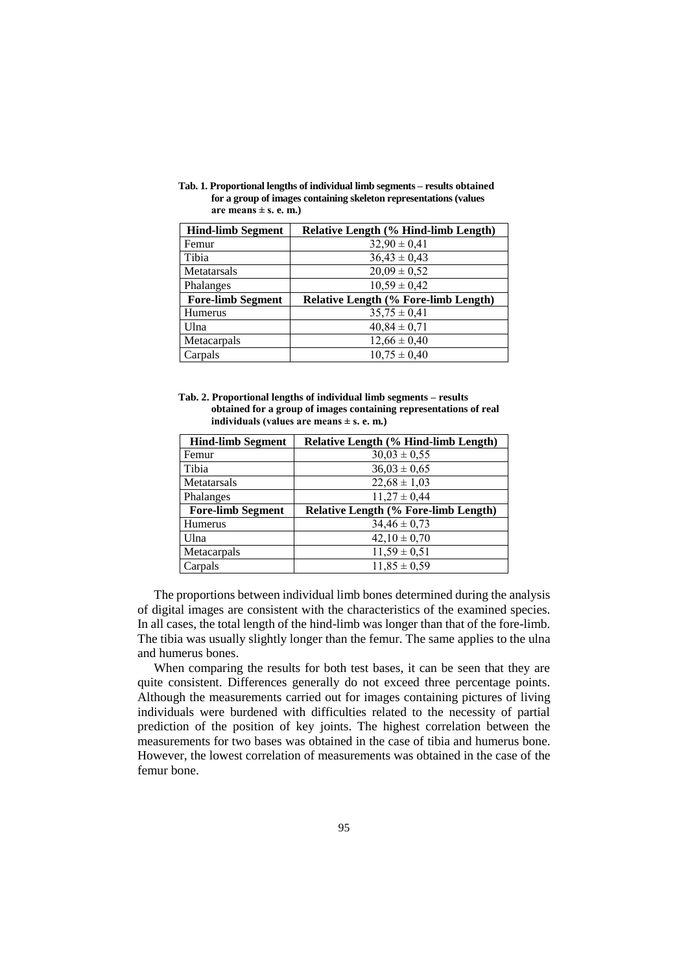**Tab. 1. Proportional lengths of individual limb segments – results obtained for a group of images containing skeleton representations (values** are means  $\pm$  s. e. m.)

| <b>Hind-limb Segment</b> | <b>Relative Length (% Hind-limb Length)</b> |
|--------------------------|---------------------------------------------|
| Femur                    | $32,90 \pm 0,41$                            |
| Tibia                    | $36,43 \pm 0,43$                            |
| Metatarsals              | $20,09 \pm 0,52$                            |
| Phalanges                | $10,59 \pm 0,42$                            |
|                          |                                             |
| <b>Fore-limb Segment</b> | <b>Relative Length (% Fore-limb Length)</b> |
| Humerus                  | $35,75 \pm 0,41$                            |
| Ulna                     | $40,84 \pm 0,71$                            |
| Metacarpals              | $12,66 \pm 0,40$                            |

**Tab. 2. Proportional lengths of individual limb segments – results obtained for a group of images containing representations of real individuals (values are means ± s. e. m.)**

| <b>Hind-limb Segment</b> | Relative Length (% Hind-limb Length) |
|--------------------------|--------------------------------------|
| Femur                    | $30,03 \pm 0,55$                     |
| Tibia                    | $36,03 \pm 0,65$                     |
| Metatarsals              | $22,68 \pm 1,03$                     |
| Phalanges                | $11,27 \pm 0,44$                     |
| <b>Fore-limb Segment</b> | Relative Length (% Fore-limb Length) |
| Humerus                  | $34,46 \pm 0,73$                     |
|                          |                                      |
| Ulna                     | $42,10 \pm 0,70$                     |
| Metacarpals              | $11,59 \pm 0.51$                     |

The proportions between individual limb bones determined during the analysis of digital images are consistent with the characteristics of the examined species. In all cases, the total length of the hind-limb was longer than that of the fore-limb. The tibia was usually slightly longer than the femur. The same applies to the ulna and humerus bones.

When comparing the results for both test bases, it can be seen that they are quite consistent. Differences generally do not exceed three percentage points. Although the measurements carried out for images containing pictures of living individuals were burdened with difficulties related to the necessity of partial prediction of the position of key joints. The highest correlation between the measurements for two bases was obtained in the case of tibia and humerus bone. However, the lowest correlation of measurements was obtained in the case of the femur bone.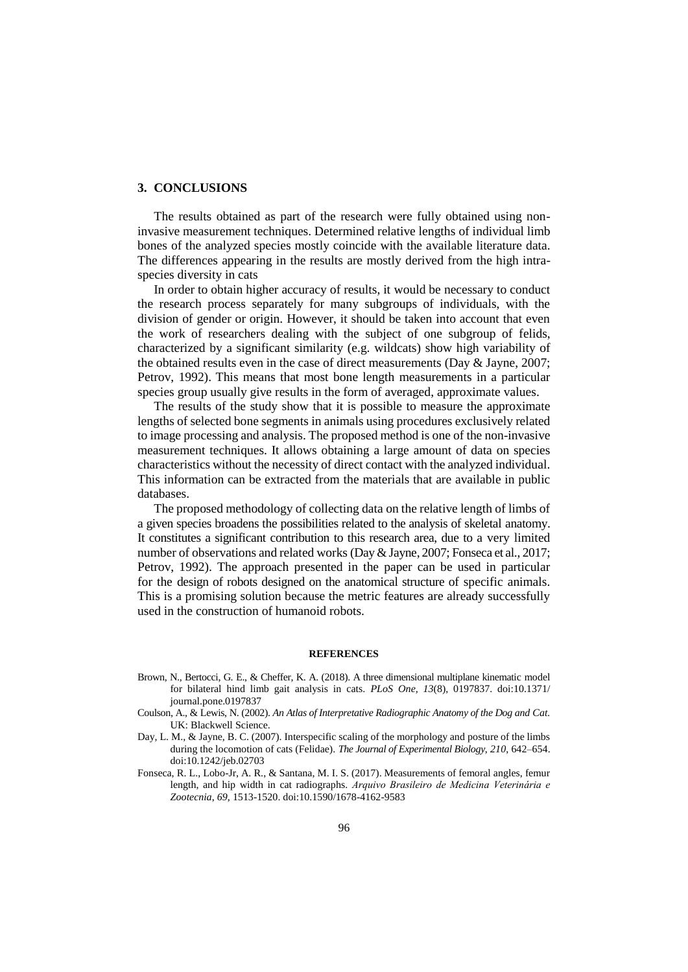#### **3. CONCLUSIONS**

The results obtained as part of the research were fully obtained using noninvasive measurement techniques. Determined relative lengths of individual limb bones of the analyzed species mostly coincide with the available literature data. The differences appearing in the results are mostly derived from the high intraspecies diversity in cats

In order to obtain higher accuracy of results, it would be necessary to conduct the research process separately for many subgroups of individuals, with the division of gender or origin. However, it should be taken into account that even the work of researchers dealing with the subject of one subgroup of felids, characterized by a significant similarity (e.g. wildcats) show high variability of the obtained results even in the case of direct measurements (Day & Jayne, 2007; Petrov, 1992). This means that most bone length measurements in a particular species group usually give results in the form of averaged, approximate values.

The results of the study show that it is possible to measure the approximate lengths of selected bone segments in animals using procedures exclusively related to image processing and analysis. The proposed method is one of the non-invasive measurement techniques. It allows obtaining a large amount of data on species characteristics without the necessity of direct contact with the analyzed individual. This information can be extracted from the materials that are available in public databases.

The proposed methodology of collecting data on the relative length of limbs of a given species broadens the possibilities related to the analysis of skeletal anatomy. It constitutes a significant contribution to this research area, due to a very limited number of observations and related works (Day & Jayne, 2007; Fonseca et al., 2017; Petrov, 1992). The approach presented in the paper can be used in particular for the design of robots designed on the anatomical structure of specific animals. This is a promising solution because the metric features are already successfully used in the construction of humanoid robots.

#### **REFERENCES**

- Brown, N., Bertocci, G. E., & Cheffer, K. A. (2018). A three dimensional multiplane kinematic model for bilateral hind limb gait analysis in cats. *PLoS One, 13*(8), 0197837. doi:10.1371/ journal.pone.0197837
- Coulson, A., & Lewis, N. (2002). *An Atlas of Interpretative Radiographic Anatomy of the Dog and Cat.* UK: Blackwell Science.
- Day, L. M., & Jayne, B. C. (2007). Interspecific scaling of the morphology and posture of the limbs during the locomotion of cats (Felidae). *The Journal of Experimental Biology*, *210*, 642–654. doi:10.1242/jeb.02703
- Fonseca, R. L., Lobo-Jr, A. R., & Santana, M. I. S. (2017). Measurements of femoral angles, femur length, and hip width in cat radiographs. *Arquivo Brasileiro de Medicina Veterinária e Zootecnia*, *69*, 1513-1520. doi:10.1590/1678-4162-9583